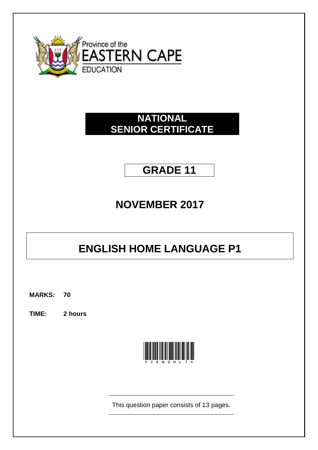

# **NATIONAL SENIOR CERTIFICATE**

# **GRADE 11**

# **NOVEMBER 2017**

# **ENGLISH HOME LANGUAGE P1**

**MARKS: 70**

**TIME: 2 hours**



This question paper consists of 13 pages.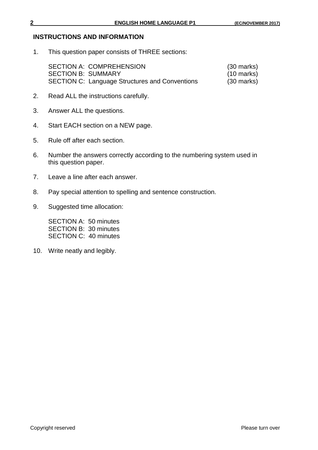#### **INSTRUCTIONS AND INFORMATION**

1. This question paper consists of THREE sections:

| <b>SECTION A: COMPREHENSION</b>                       | $(30 \text{ marks})$ |
|-------------------------------------------------------|----------------------|
| <b>SECTION B: SUMMARY</b>                             | $(10 \text{ marks})$ |
| <b>SECTION C: Language Structures and Conventions</b> | $(30 \text{ marks})$ |

- 2. Read ALL the instructions carefully.
- 3. Answer ALL the questions.
- 4. Start EACH section on a NEW page.
- 5. Rule off after each section.
- 6. Number the answers correctly according to the numbering system used in this question paper.
- 7. Leave a line after each answer.
- 8. Pay special attention to spelling and sentence construction.
- 9. Suggested time allocation:

SECTION A: 50 minutes SECTION B: 30 minutes SECTION C: 40 minutes

10. Write neatly and legibly.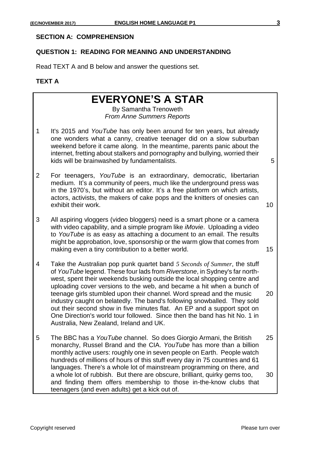#### **SECTION A: COMPREHENSION**

#### **QUESTION 1: READING FOR MEANING AND UNDERSTANDING**

Read TEXT A and B below and answer the questions set.

### **TEXT A**

# **EVERYONE'S A STAR**

By Samantha Trenoweth *From Anne Summers Reports*

- 1 It's 2015 and *YouTube* has only been around for ten years, but already one wonders what a canny, creative teenager did on a slow suburban weekend before it came along. In the meantime, parents panic about the internet, fretting about stalkers and pornography and bullying, worried their kids will be brainwashed by fundamentalists. 5
- 2 For teenagers, *YouTube* is an extraordinary, democratic, libertarian medium. It's a community of peers, much like the underground press was in the 1970's, but without an editor. It's a free platform on which artists, actors, activists, the makers of cake pops and the knitters of onesies can exhibit their work. 10

- 3 All aspiring vloggers (video bloggers) need is a smart phone or a camera with video capability, and a simple program like *iMovie*. Uploading a video to *YouTube* is as easy as attaching a document to an email. The results might be approbation, love, sponsorship or the warm glow that comes from making even a tiny contribution to a better world. The same state of  $15$
- 4 Take the Australian pop punk quartet band *5 Seconds of Summer*, the stuff of *YouTube* legend. These four lads from *Riverstone*, in Sydney's far northwest, spent their weekends busking outside the local shopping centre and uploading cover versions to the web, and became a hit when a bunch of teenage girls stumbled upon their channel. Word spread and the music 20 industry caught on belatedly. The band's following snowballed. They sold out their second show in five minutes flat. An EP and a support spot on One Direction's world tour followed. Since then the band has hit No. 1 in Australia, New Zealand, Ireland and UK.
- 5 The BBC has a *YouTube* channel. So does Giorgio Armani, the British 25 monarchy, Russel Brand and the CIA. *YouTube* has more than a billion monthly active users: roughly one in seven people on Earth. People watch hundreds of millions of hours of this stuff every day in 75 countries and 61 languages. There's a whole lot of mainstream programming on there, and a whole lot of rubbish. But there are obscure, brilliant, quirky gems too, 30 and finding them offers membership to those in-the-know clubs that teenagers (and even adults) get a kick out of.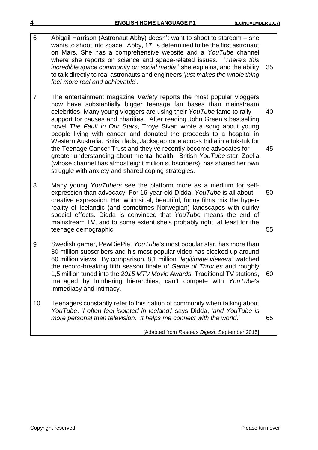- 6 Abigail Harrison (Astronaut Abby) doesn't want to shoot to stardom she wants to shoot into space. Abby, 17, is determined to be the first astronaut on Mars. She has a comprehensive website and a *YouTube* channel where she reports on science and space-related issues. ʽ*There's this incredible space community on social media*,' she explains, and the ability 35 to talk directly to real astronauts and engineers ʽ*just makes the whole thing feel more real and achievable*'.
- 7 The entertainment magazine *Variety* reports the most popular vloggers now have substantially bigger teenage fan bases than mainstream celebrities. Many young vloggers are using their *YouTube* fame to rally 40 support for causes and charities. After reading John Green's bestselling novel *The Fault in Our Stars*, Troye Sivan wrote a song about young people living with cancer and donated the proceeds to a hospital in Western Australia. British lads, Jacksgap rode across India in a tuk-tuk for the Teenage Cancer Trust and they've recently become advocates for 45 greater understanding about mental health. British *YouTube* star, Zoella (whose channel has almost eight million subscribers), has shared her own struggle with anxiety and shared coping strategies.
- 8 Many young *YouTubers* see the platform more as a medium for selfexpression than advocacy. For 16-year-old Didda, *YouTube* is all about 50 creative expression. Her whimsical, beautiful, funny films mix the hyperreality of Icelandic (and sometimes Norwegian) landscapes with quirky special effects. Didda is convinced that *YouTub*e means the end of mainstream TV, and to some extent she's probably right, at least for the teenage demographic. The state of the state of the state of the state of the state of the state of the state of the state of the state of the state of the state of the state of the state of the state of the state of the st
- 9 Swedish gamer, PewDiePie, *YouTube*'s most popular star, has more than 30 million subscribers and his most popular video has clocked up around 60 million views. By comparison, 8,1 million "*legitimate viewers*" watched the record-breaking fifth season finale *of Game of Thrones* and roughly 1,5 million tuned into the *2015 MTV Movie Awards*. Traditional TV stations, 60 managed by lumbering hierarchies, can't compete with *YouTube*'s immediacy and intimacy.
- 10 Teenagers constantly refer to this nation of community when talking about *YouTube*. ʽ*I often feel isolated in Iceland*,' says Didda, '*and YouTube is more personal than television. It helps me connect with the world*.' 65

#### [Adapted from *Readers Digest*, September 2015]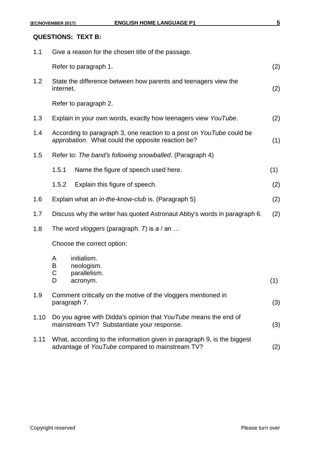#### **QUESTIONS: TEXT B:**

| 1.1  | Give a reason for the chosen title of the passage. |                                                                                                                            |     |
|------|----------------------------------------------------|----------------------------------------------------------------------------------------------------------------------------|-----|
|      |                                                    | Refer to paragraph 1.                                                                                                      | (2) |
| 1.2  | internet.                                          | State the difference between how parents and teenagers view the                                                            | (2) |
|      |                                                    | Refer to paragraph 2.                                                                                                      |     |
| 1.3  |                                                    | Explain in your own words, exactly how teenagers view YouTube.                                                             | (2) |
| 1.4  |                                                    | According to paragraph 3, one reaction to a post on YouTube could be<br>approbation. What could the opposite reaction be?  | (1) |
| 1.5  |                                                    | Refer to: The band's following snowballed. (Paragraph 4)                                                                   |     |
|      | 1.5.1                                              | Name the figure of speech used here.                                                                                       | (1) |
|      | 1.5.2                                              | Explain this figure of speech.                                                                                             | (2) |
| 1.6  |                                                    | Explain what an <i>in-the-know-club</i> is. (Paragraph 5)                                                                  | (2) |
| 1.7  |                                                    | Discuss why the writer has quoted Astronaut Abby's words in paragraph 6.                                                   | (2) |
| 1.8  |                                                    | The word vloggers (paragraph. 7) is a / an                                                                                 |     |
|      |                                                    | Choose the correct option:                                                                                                 |     |
|      | A<br>B<br>C<br>D                                   | initialism.<br>neologism.<br>parallelism.<br>acronym.                                                                      | (1) |
| 1.9  |                                                    | Comment critically on the motive of the vloggers mentioned in<br>paragraph 7.                                              | (3) |
| 1.10 |                                                    | Do you agree with Didda's opinion that YouTube means the end of<br>mainstream TV? Substantiate your response.              | (3) |
| 1.11 |                                                    | What, according to the information given in paragraph 9, is the biggest<br>advantage of YouTube compared to mainstream TV? | (2) |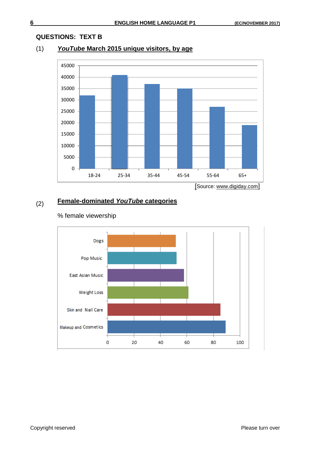#### **QUESTIONS: TEXT B**

## (1) *YouTube* **March 2015 unique visitors, by age**



**Female-dominated** *YouTube* **categories**

# DogsPop Music East Asian Music Weight Loss Skin and Nail Care Makeup and Cosmetics ⊣  $\circ$ 0 20 40 60 80 100

#### % female viewership

(2)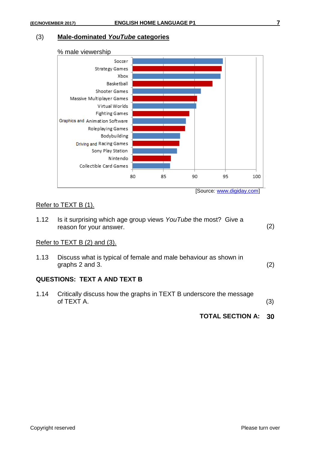#### (3) **Male-dominated** *YouTube* **categories**



### Refer to TEXT B (1).

|      | <b>TOTAL SECTION A:</b>                                                                    | 30  |
|------|--------------------------------------------------------------------------------------------|-----|
| 1.14 | Critically discuss how the graphs in TEXT B underscore the message<br>of TEXT A.           | (3) |
|      | <b>QUESTIONS: TEXT A AND TEXT B</b>                                                        |     |
| 1.13 | Discuss what is typical of female and male behaviour as shown in<br>graphs 2 and 3.        | (2) |
|      | Refer to $TEXTB(2)$ and $(3)$ .                                                            |     |
| 1.12 | Is it surprising which age group views YouTube the most? Give a<br>reason for your answer. | (2) |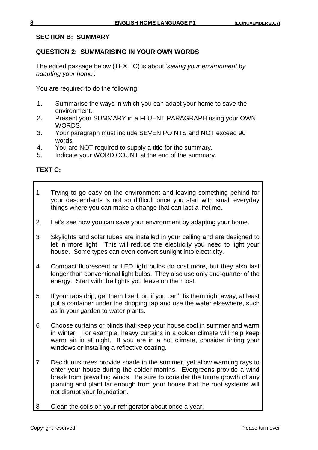#### **SECTION B: SUMMARY**

#### **QUESTION 2: SUMMARISING IN YOUR OWN WORDS**

The edited passage below (TEXT C) is about *saving your environment by adapting your home'.*

You are required to do the following:

- 1. Summarise the ways in which you can adapt your home to save the environment.
- 2. Present your SUMMARY in a FLUENT PARAGRAPH using your OWN WORDS.
- 3. Your paragraph must include SEVEN POINTS and NOT exceed 90 words.
- 4. You are NOT required to supply a title for the summary.
- 5. Indicate your WORD COUNT at the end of the summary.

## **TEXT C:**

- 1 Trying to go easy on the environment and leaving something behind for your descendants is not so difficult once you start with small everyday things where you can make a change that can last a lifetime.
- 2 Let's see how you can save your environment by adapting your home.
- 3 Skylights and solar tubes are installed in your ceiling and are designed to let in more light. This will reduce the electricity you need to light your house. Some types can even convert sunlight into electricity.
- 4 Compact fluorescent or LED light bulbs do cost more, but they also last longer than conventional light bulbs. They also use only one-quarter of the energy. Start with the lights you leave on the most.
- 5 If your taps drip, get them fixed, or, if you can't fix them right away, at least put a container under the dripping tap and use the water elsewhere, such as in your garden to water plants.
- 6 Choose curtains or blinds that keep your house cool in summer and warm in winter. For example, heavy curtains in a colder climate will help keep warm air in at night. If you are in a hot climate, consider tinting your windows or installing a reflective coating.
- 7 Deciduous trees provide shade in the summer, yet allow warming rays to enter your house during the colder months. Evergreens provide a wind break from prevailing winds. Be sure to consider the future growth of any planting and plant far enough from your house that the root systems will not disrupt your foundation.
- 8 Clean the coils on your refrigerator about once a year.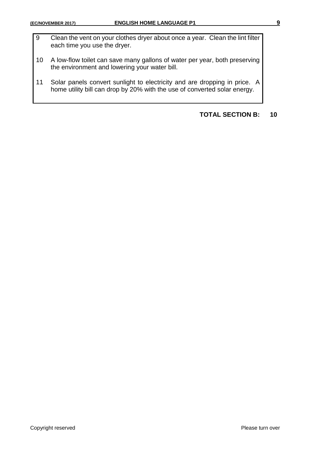- 9 Clean the vent on your clothes dryer about once a year. Clean the lint filter each time you use the dryer.
- 10 A low-flow toilet can save many gallons of water per year, both preserving the environment and lowering your water bill.
- 11 Solar panels convert sunlight to electricity and are dropping in price. A home utility bill can drop by 20% with the use of converted solar energy.

## **TOTAL SECTION B: 10**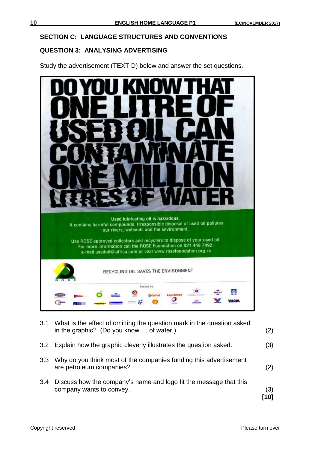#### **SECTION C: LANGUAGE STRUCTURES AND CONVENTIONS**

#### **QUESTION 3: ANALYSING ADVERTISING**

Study the advertisement (TEXT D) below and answer the set questions.



3.1 What is the effect of omitting the question mark in the question asked in the graphic? (Do you know … of water.) (2) 3.2 Explain how the graphic cleverly illustrates the question asked. (3) 3.3 Why do you think most of the companies funding this advertisement are petroleum companies? (2) 3.4 Discuss how the company's name and logo fit the message that this company wants to convey. (3) **[10]**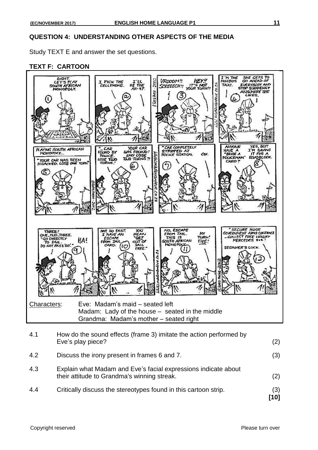#### **QUESTION 4: UNDERSTANDING OTHER ASPECTS OF THE MEDIA**

Study TEXT E and answer the set questions.

#### **TEXT F: CARTOON**



4.4 Critically discuss the stereotypes found in this cartoon strip. (3)

**[10]**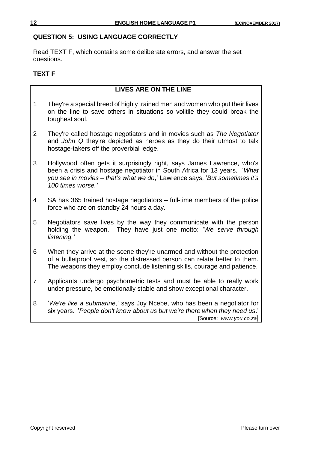#### **QUESTION 5: USING LANGUAGE CORRECTLY**

Read TEXT F, which contains some deliberate errors, and answer the set questions.

#### **TEXT F**

### **LIVES ARE ON THE LINE**

- 1 They're a special breed of highly trained men and women who put their lives on the line to save others in situations so volitile they could break the toughest soul.
- 2 They're called hostage negotiators and in movies such as *The Negotiator* and *John Q* they're depicted as heroes as they do their utmost to talk hostage-takers off the proverbial ledge.
- 3 Hollywood often gets it surprisingly right, says James Lawrence, who's been a crisis and hostage negotiator in South Africa for 13 years. ʽ*What you see in movies – that's what we do*,ʽ Lawrence says, ʽ*But sometimes it's 100 times worse.'*
- 4 SA has 365 trained hostage negotiators full-time members of the police force who are on standby 24 hours a day.
- 5 Negotiators save lives by the way they communicate with the person holding the weapon. They have just one motto: ʽ*We serve through listening.'*
- 6 When they arrive at the scene they're unarmed and without the protection of a bulletproof vest, so the distressed person can relate better to them. The weapons they employ conclude listening skills, courage and patience.
- 7 Applicants undergo psychometric tests and must be able to really work under pressure, be emotionally stable and show exceptional character.
- 8 ʽ*We're like a submarine*,ʽ says Joy Ncebe, who has been a negotiator for six years. ʽ*People don't know about us but we're there when they need us*.' [Source: *www.you.co.za*]